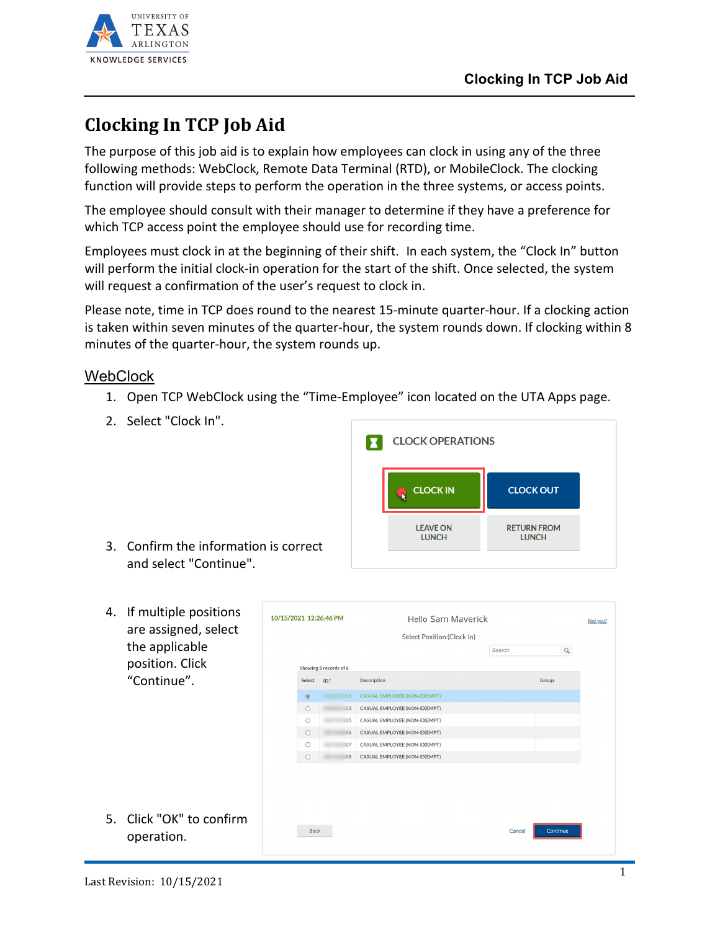

## **Clocking In TCP Job Aid**

The purpose of this job aid is to explain how employees can clock in using any of the three following methods: WebClock, Remote Data Terminal (RTD), or MobileClock. The clocking function will provide steps to perform the operation in the three systems, or access points.

The employee should consult with their manager to determine if they have a preference for which TCP access point the employee should use for recording time.

Employees must clock in at the beginning of their shift. In each system, the "Clock In" button will perform the initial clock-in operation for the start of the shift. Once selected, the system will request a confirmation of the user's request to clock in.

Please note, time in TCP does round to the nearest 15-minute quarter-hour. If a clocking action is taken within seven minutes of the quarter-hour, the system rounds down. If clocking within 8 minutes of the quarter-hour, the system rounds up.

## **WebClock**

- 1. Open TCP WebClock using the "Time-Employee" icon located on the UTA Apps page.
- 2. Select "Clock In".



- 3. Confirm the information is correct and select "Continue".
- 4. If multiple positions are assigned, select the applicable position. Click "Continue".

10/15/2021 12:26:46 PM Hello Sam Mayerick Not you? Select Position (Clock In)  $\alpha$ Search Showing 6 records of 6 Select ID1 Group Description 01 CASUAL EMPLOYEE (NON-EXEMPT)  $\circ$ 03 CASUAL EMPLOYEE (NON-EXEMPT) 05 CASUAL EMPLOYEE (NON-EXEMPT) 06 CASUAL EMPLOYEE (NON-EXEMPT)  $\circ$ O 67 CASUAL EMPLOYEE (NON-EXEMPT) 08 CASUAL EMPLOYEE (NON-EXEMPT) 5. Click "OK" to confirm Back

operation.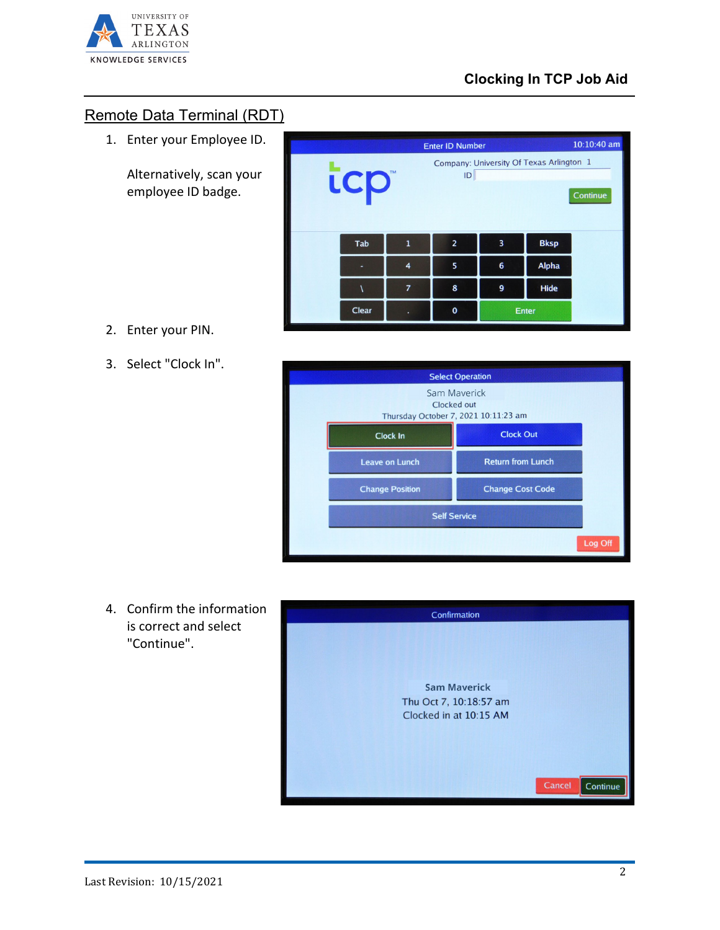

## Remote Data Terminal (RDT)

1. Enter your Employee ID.

Alternatively, scan your employee ID badge.

| 2. | Enter your PIN. |  |  |
|----|-----------------|--|--|
|----|-----------------|--|--|

3. Select "Clock In".





4. Confirm the information is correct and select "Continue".

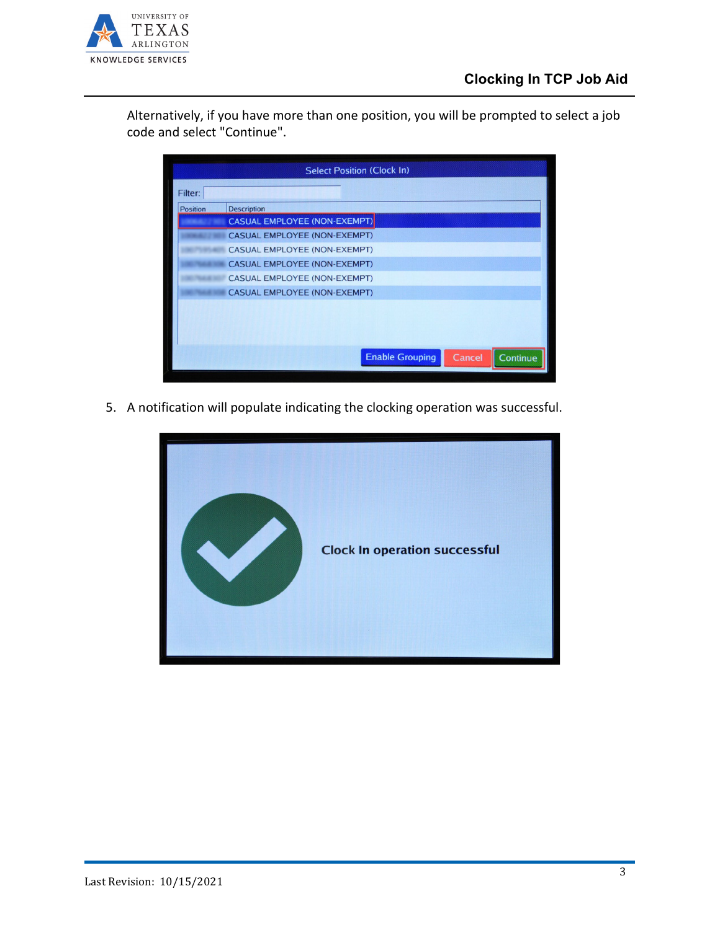

Alternatively, if you have more than one position, you will be prompted to select a job code and select "Continue".

| <b>Select Position (Clock In)</b> |                                              |  |  |
|-----------------------------------|----------------------------------------------|--|--|
| Filter:                           |                                              |  |  |
| Position                          | <b>Description</b>                           |  |  |
|                                   | <b>CASUAL EMPLOYEE (NON-EXEMPT)</b>          |  |  |
|                                   | <b>CASUAL EMPLOYEE (NON-EXEMPT)</b>          |  |  |
|                                   | <b>CASUAL EMPLOYEE (NON-EXEMPT)</b>          |  |  |
|                                   | <b>CASUAL EMPLOYEE (NON-EXEMPT)</b>          |  |  |
|                                   | <b>CASUAL EMPLOYEE (NON-EXEMPT)</b>          |  |  |
|                                   | <b>CASUAL EMPLOYEE (NON-EXEMPT)</b>          |  |  |
|                                   |                                              |  |  |
|                                   |                                              |  |  |
|                                   |                                              |  |  |
|                                   |                                              |  |  |
|                                   | <b>Enable Grouping</b><br>Cancel<br>Continue |  |  |
|                                   |                                              |  |  |

5. A notification will populate indicating the clocking operation was successful.